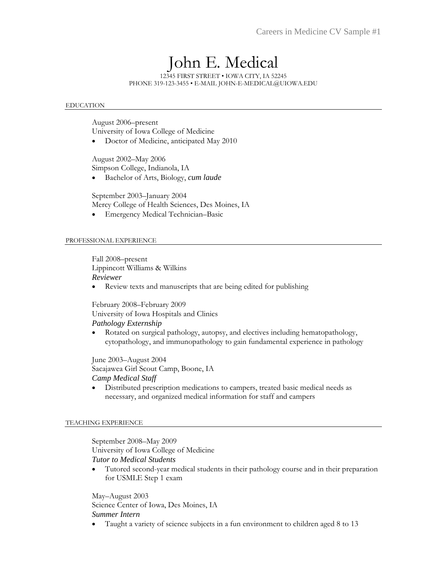# John E. Medical

12345 FIRST STREET • IOWA CITY, IA 52245 PHONE 319-123-3455 • E-MAIL JOHN-E-MEDICAL@UIOWA.EDU

### EDUCATION

August 2006–present University of Iowa College of Medicine

Doctor of Medicine, anticipated May 2010

August 2002–May 2006 Simpson College, Indianola, IA

Bachelor of Arts, Biology, *cum laude* 

September 2003–January 2004 Mercy College of Health Sciences, Des Moines, IA Emergency Medical Technician–Basic

### PROFESSIONAL EXPERIENCE

Fall 2008–present Lippincott Williams & Wilkins *Reviewer* 

Review texts and manuscripts that are being edited for publishing

February 2008–February 2009 University of Iowa Hospitals and Clinics *Pathology Externship* 

 Rotated on surgical pathology, autopsy, and electives including hematopathology, cytopathology, and immunopathology to gain fundamental experience in pathology

June 2003–August 2004 Sacajawea Girl Scout Camp, Boone, IA *Camp Medical Staff* 

 Distributed prescription medications to campers, treated basic medical needs as necessary, and organized medical information for staff and campers

### TEACHING EXPERIENCE

September 2008–May 2009 University of Iowa College of Medicine *Tutor to Medical Students* 

 Tutored second-year medical students in their pathology course and in their preparation for USMLE Step 1 exam

May–August 2003 Science Center of Iowa, Des Moines, IA *Summer Intern* 

Taught a variety of science subjects in a fun environment to children aged 8 to 13